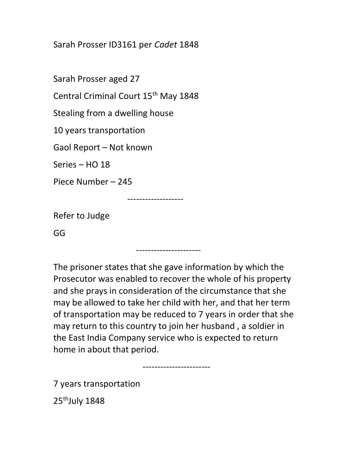Sarah Prosser ID3161 per Cadet 1848

Sarah Prosser aged 27

Central Criminal Court 15<sup>th</sup> May 1848

Stealing from a dwelling house

10 years transportation

Gaol Report – Not known

Series – HO 18

Piece Number – 245

-------------------

Refer to Judge

GG

The prisoner states that she gave information by which the Prosecutor was enabled to recover the whole of his property and she prays in consideration of the circumstance that she may be allowed to take her child with her, and that her term of transportation may be reduced to 7 years in order that she may return to this country to join her husband , a soldier in the East India Company service who is expected to return home in about that period.

----------------------

-----------------------

7 years transportation

25<sup>th</sup>July 1848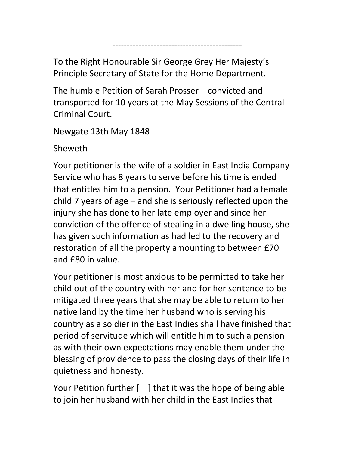To the Right Honourable Sir George Grey Her Majesty's Principle Secretary of State for the Home Department.

--------------------------------------------

The humble Petition of Sarah Prosser – convicted and transported for 10 years at the May Sessions of the Central Criminal Court.

Newgate 13th May 1848

Sheweth

Your petitioner is the wife of a soldier in East India Company Service who has 8 years to serve before his time is ended that entitles him to a pension. Your Petitioner had a female child 7 years of age – and she is seriously reflected upon the injury she has done to her late employer and since her conviction of the offence of stealing in a dwelling house, she has given such information as had led to the recovery and restoration of all the property amounting to between £70 and £80 in value.

Your petitioner is most anxious to be permitted to take her child out of the country with her and for her sentence to be mitigated three years that she may be able to return to her native land by the time her husband who is serving his country as a soldier in the East Indies shall have finished that period of servitude which will entitle him to such a pension as with their own expectations may enable them under the blessing of providence to pass the closing days of their life in quietness and honesty.

Your Petition further [ ] that it was the hope of being able to join her husband with her child in the East Indies that